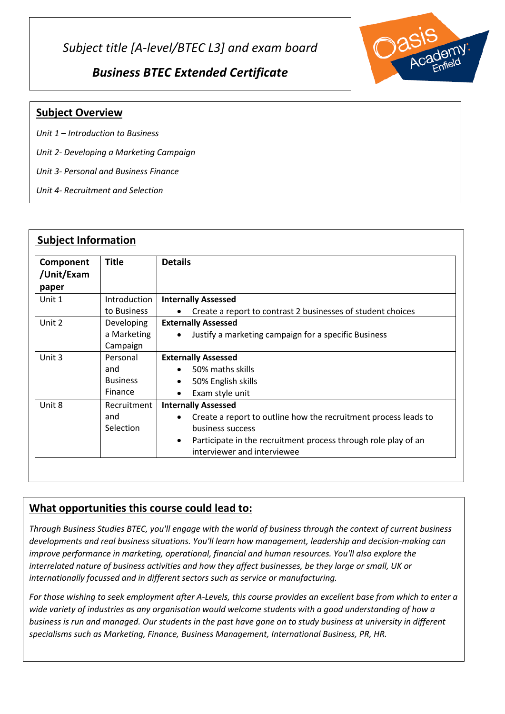*Subject title [A-level/BTEC L3] and exam board*

*Business BTEC Extended Certificate*



## **Subject Overview**

*Unit 1 – Introduction to Business*

*Unit 2- Developing a Marketing Campaign*

*Unit 3- Personal and Business Finance*

*Unit 4- Recruitment and Selection*

| Component<br>/Unit/Exam<br>paper | <b>Title</b>      | <b>Details</b>                                                               |
|----------------------------------|-------------------|------------------------------------------------------------------------------|
| Unit 1                           | Introduction      | <b>Internally Assessed</b>                                                   |
|                                  | to Business       | Create a report to contrast 2 businesses of student choices                  |
| Unit 2                           | <b>Developing</b> | <b>Externally Assessed</b>                                                   |
|                                  | a Marketing       | Justify a marketing campaign for a specific Business<br>$\bullet$            |
|                                  | Campaign          |                                                                              |
| Unit 3                           | Personal          | <b>Externally Assessed</b>                                                   |
|                                  | and               | 50% maths skills<br>$\bullet$                                                |
|                                  | <b>Business</b>   | 50% English skills<br>$\bullet$                                              |
|                                  | Finance           | Exam style unit<br>$\bullet$                                                 |
| Unit 8                           | Recruitment       | <b>Internally Assessed</b>                                                   |
|                                  | and               | Create a report to outline how the recruitment process leads to<br>$\bullet$ |
|                                  | Selection         | business success                                                             |
|                                  |                   | Participate in the recruitment process through role play of an<br>$\bullet$  |
|                                  |                   | interviewer and interviewee                                                  |

## **What opportunities this course could lead to:**

*Through Business Studies BTEC, you'll engage with the world of business through the context of current business developments and real business situations. You'll learn how management, leadership and decision-making can improve performance in marketing, operational, financial and human resources. You'll also explore the interrelated nature of business activities and how they affect businesses, be they large or small, UK or internationally focussed and in different sectors such as service or manufacturing.*

*For those wishing to seek employment after A-Levels, this course provides an excellent base from which to enter a wide variety of industries as any organisation would welcome students with a good understanding of how a business is run and managed. Our students in the past have gone on to study business at university in different specialisms such as Marketing, Finance, Business Management, International Business, PR, HR.*